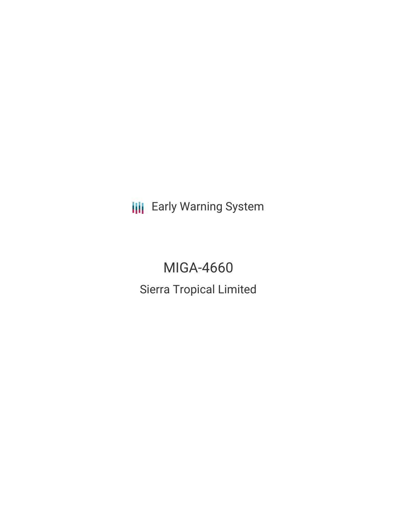**III** Early Warning System

# MIGA-4660 Sierra Tropical Limited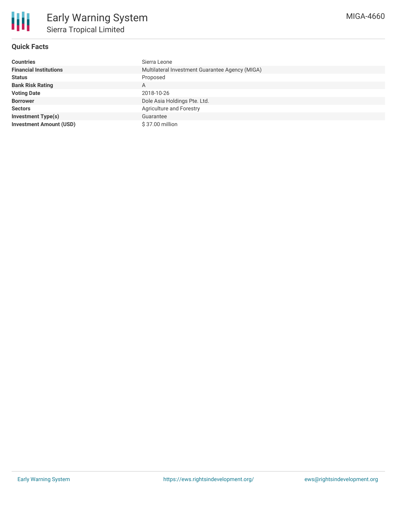

## **Quick Facts**

| <b>Countries</b>               | Sierra Leone                                    |  |  |  |
|--------------------------------|-------------------------------------------------|--|--|--|
| <b>Financial Institutions</b>  | Multilateral Investment Guarantee Agency (MIGA) |  |  |  |
| <b>Status</b>                  | Proposed                                        |  |  |  |
| <b>Bank Risk Rating</b>        | A                                               |  |  |  |
| <b>Voting Date</b>             | 2018-10-26                                      |  |  |  |
| <b>Borrower</b>                | Dole Asia Holdings Pte. Ltd.                    |  |  |  |
| <b>Sectors</b>                 | Agriculture and Forestry                        |  |  |  |
| <b>Investment Type(s)</b>      | Guarantee                                       |  |  |  |
| <b>Investment Amount (USD)</b> | \$37.00 million                                 |  |  |  |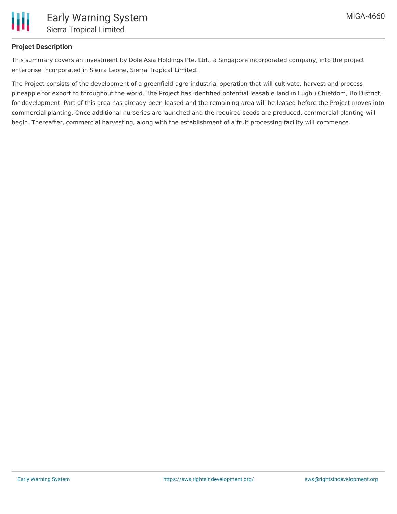

### **Project Description**

This summary covers an investment by Dole Asia Holdings Pte. Ltd., a Singapore incorporated company, into the project enterprise incorporated in Sierra Leone, Sierra Tropical Limited.

The Project consists of the development of a greenfield agro-industrial operation that will cultivate, harvest and process pineapple for export to throughout the world. The Project has identified potential leasable land in Lugbu Chiefdom, Bo District, for development. Part of this area has already been leased and the remaining area will be leased before the Project moves into commercial planting. Once additional nurseries are launched and the required seeds are produced, commercial planting will begin. Thereafter, commercial harvesting, along with the establishment of a fruit processing facility will commence.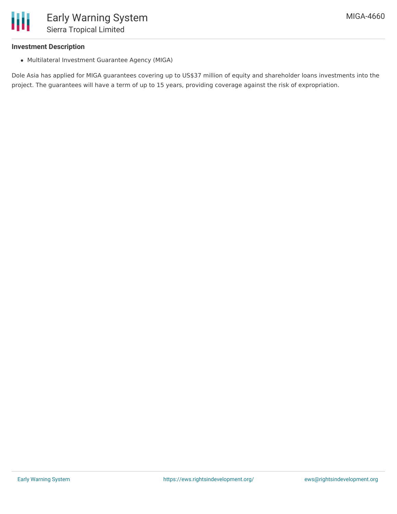### **Investment Description**

Ш

Multilateral Investment Guarantee Agency (MIGA)

Dole Asia has applied for MIGA guarantees covering up to US\$37 million of equity and shareholder loans investments into the project. The guarantees will have a term of up to 15 years, providing coverage against the risk of expropriation.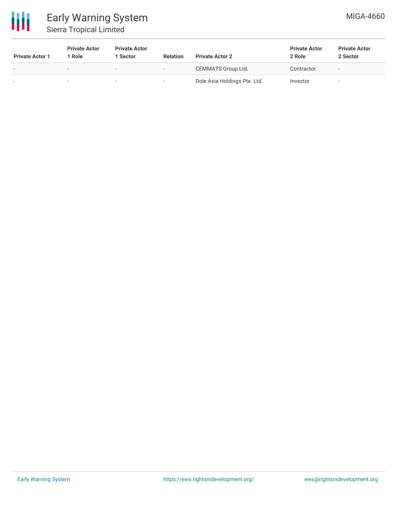

# Early Warning System Sierra Tropical Limited

| <b>Private Actor 1</b> | <b>Private Actor</b><br>1 Role | <b>Private Actor</b><br>1 Sector | <b>Relation</b>          | <b>Private Actor 2</b>       | <b>Private Actor</b><br>2 Role | <b>Private Actor</b><br>2 Sector |
|------------------------|--------------------------------|----------------------------------|--------------------------|------------------------------|--------------------------------|----------------------------------|
|                        |                                | $\overline{\phantom{0}}$         | $\overline{\phantom{0}}$ | CEMMATS Group Ltd.           | Contractor                     | $\overline{\phantom{a}}$         |
|                        |                                | $\sim$                           | $\overline{\phantom{a}}$ | Dole Asia Holdings Pte. Ltd. | Investor                       |                                  |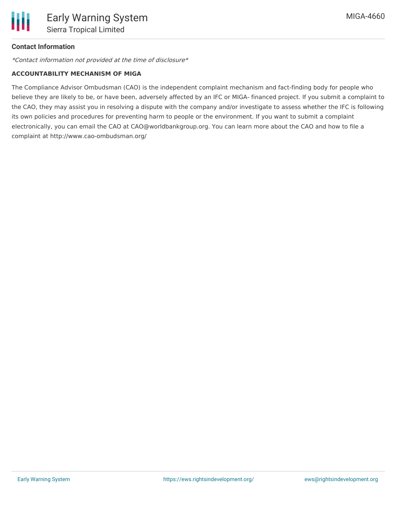### **Contact Information**

\*Contact information not provided at the time of disclosure\*

### **ACCOUNTABILITY MECHANISM OF MIGA**

The Compliance Advisor Ombudsman (CAO) is the independent complaint mechanism and fact-finding body for people who believe they are likely to be, or have been, adversely affected by an IFC or MIGA- financed project. If you submit a complaint to the CAO, they may assist you in resolving a dispute with the company and/or investigate to assess whether the IFC is following its own policies and procedures for preventing harm to people or the environment. If you want to submit a complaint electronically, you can email the CAO at CAO@worldbankgroup.org. You can learn more about the CAO and how to file a complaint at http://www.cao-ombudsman.org/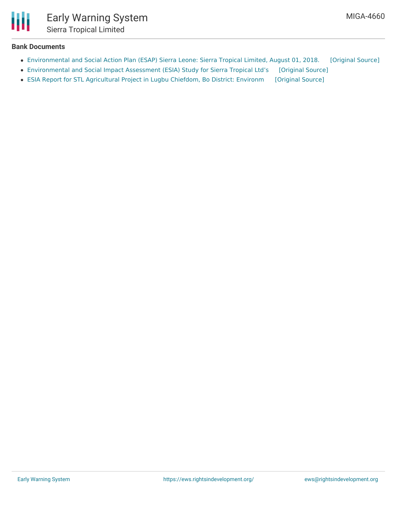

### **Bank Documents**

- [Environmental](https://ewsdata.rightsindevelopment.org/files/documents/60/MIGA-4660_0Z1qK02.pdf) and Social Action Plan (ESAP) Sierra Leone: Sierra Tropical Limited, August 01, 2018. [\[Original](http://www.miga.org/sites/default/files/2018/Final_Sierra_Tropical_Ltd_ESAP_08.01.2018.pdf) Source]
- [Environmental](https://ewsdata.rightsindevelopment.org/files/documents/60/MIGA-4660.pdf) and Social Impact Assessment (ESIA) Study for Sierra Tropical Ltd's [\[Original](http://www.miga.org/sites/default/files/2018/STL_ESIA-Final_Draft_Report_6-25.pdf) Source]
- ESIA Report for STL [Agricultural](https://ewsdata.rightsindevelopment.org/files/documents/60/MIGA-4660_dWSjTY8.pdf) Project in Lugbu Chiefdom, Bo District: Environm [\[Original](http://www.miga.org/sites/default/files/2018/STL_ESMP-Final_Draft_Report-6-26.pdf) Source]